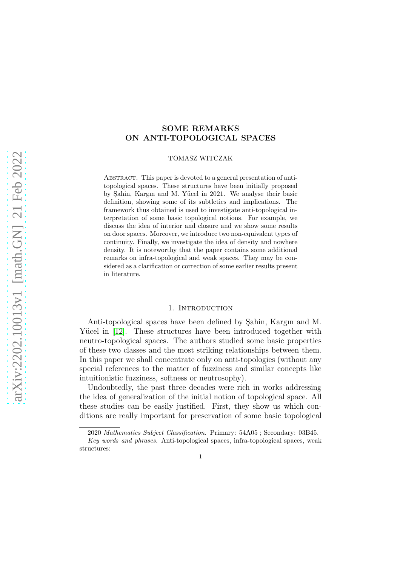# SOME REMARKS ON ANTI-TOPOLOGICAL SPACES

### TOMASZ WITCZAK

ABSTRACT. This paper is devoted to a general presentation of antitopological spaces. These structures have been initially proposed by Sahin, Kargın and M. Yücel in 2021. We analyse their basic definition, showing some of its subtleties and implications. The framework thus obtained is used to investigate anti-topological interpretation of some basic topological notions. For example, we discuss the idea of interior and closure and we show some results on door spaces. Moreover, we introduce two non-equivalent types of continuity. Finally, we investigate the idea of density and nowhere density. It is noteworthy that the paper contains some additional remarks on infra-topological and weak spaces. They may be considered as a clarification or correction of some earlier results present in literature.

### 1. INTRODUCTION

Anti-topological spaces have been defined by Sahin, Kargın and M. Yücel in [\[12\]](#page-13-0). These structures have been introduced together with neutro-topological spaces. The authors studied some basic properties of these two classes and the most striking relationships between them. In this paper we shall concentrate only on anti-topologies (without any special references to the matter of fuzziness and similar concepts like intuitionistic fuzziness, softness or neutrosophy).

Undoubtedly, the past three decades were rich in works addressing the idea of generalization of the initial notion of topological space. All these studies can be easily justified. First, they show us which conditions are really important for preservation of some basic topological

<sup>2020</sup> *Mathematics Subject Classification.* Primary: 54A05 ; Secondary: 03B45.

*Key words and phrases.* Anti-topological spaces, infra-topological spaces, weak structures: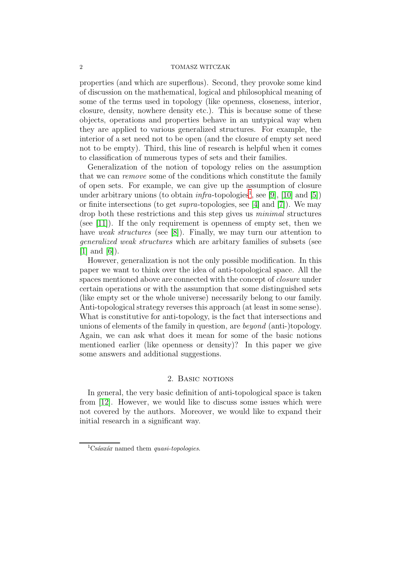properties (and which are superflous). Second, they provoke some kind of discussion on the mathematical, logical and philosophical meaning of some of the terms used in topology (like openness, closeness, interior, closure, density, nowhere density etc.). This is because some of these objects, operations and properties behave in an untypical way when they are applied to various generalized structures. For example, the interior of a set need not to be open (and the closure of empty set need not to be empty). Third, this line of research is helpful when it comes to classification of numerous types of sets and their families.

Generalization of the notion of topology relies on the assumption that we can remove some of the conditions which constitute the family of open sets. For example, we can give up the assumption of closure under arbitrary unions (to obtain  $\inf$ ra-topologies<sup>[1](#page-1-0)</sup>, see [\[9\]](#page-13-1), [\[10\]](#page-13-2) and [\[5\]](#page-12-0)) or finite intersections (to get supra-topologies, see [\[4\]](#page-12-1) and [\[7\]](#page-12-2)). We may drop both these restrictions and this step gives us minimal structures (see [\[11\]](#page-13-3)). If the only requirement is openness of empty set, then we have weak structures (see [\[8\]](#page-13-4)). Finally, we may turn our attention to generalized weak structures which are arbitary families of subsets (see  $[1]$  and  $[6]$ ).

However, generalization is not the only possible modification. In this paper we want to think over the idea of anti-topological space. All the spaces mentioned above are connected with the concept of closure under certain operations or with the assumption that some distinguished sets (like empty set or the whole universe) necessarily belong to our family. Anti-topological strategy reverses this approach (at least in some sense). What is constitutive for anti-topology, is the fact that intersections and unions of elements of the family in question, are beyond (anti-)topology. Again, we can ask what does it mean for some of the basic notions mentioned earlier (like openness or density)? In this paper we give some answers and additional suggestions.

# 2. BASIC NOTIONS

In general, the very basic definition of anti-topological space is taken from [\[12\]](#page-13-0). However, we would like to discuss some issues which were not covered by the authors. Moreover, we would like to expand their initial research in a significant way.

<span id="page-1-0"></span><sup>&</sup>lt;sup>1</sup>Császár named them *quasi-topologies*.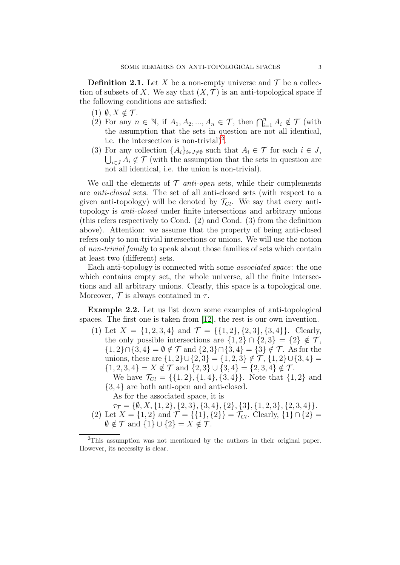<span id="page-2-1"></span>**Definition 2.1.** Let X be a non-empty universe and  $\mathcal{T}$  be a collection of subsets of X. We say that  $(X, \mathcal{T})$  is an anti-topological space if the following conditions are satisfied:

- $(1)$   $\emptyset, X \notin \mathcal{T}$ .
- (2) For any  $n \in \mathbb{N}$ , if  $A_1, A_2, ..., A_n \in \mathcal{T}$ , then  $\bigcap_{i=1}^n A_i \notin \mathcal{T}$  (with the assumption that the sets in question are not all identical, i.e. the intersection is non-trivial)<sup>[2](#page-2-0)</sup>.
- (3) For any collection  $\{A_i\}_{i\in J\neq\emptyset}$  such that  $A_i \in \mathcal{T}$  for each  $i \in J$ ,  $\bigcup_{i\in J} A_i \notin \mathcal{T}$  (with the assumption that the sets in question are not all identical, i.e. the union is non-trivial).

We call the elements of  $\mathcal T$  anti-open sets, while their complements are anti-closed sets. The set of all anti-closed sets (with respect to a given anti-topology) will be denoted by  $\mathcal{T}_{Cl}$ . We say that every antitopology is anti-closed under finite intersections and arbitrary unions (this refers respectively to Cond. (2) and Cond. (3) from the definition above). Attention: we assume that the property of being anti-closed refers only to non-trivial intersections or unions. We will use the notion of non-trivial family to speak about those families of sets which contain at least two (different) sets.

Each anti-topology is connected with some associated space: the one which contains empty set, the whole universe, all the finite intersections and all arbitrary unions. Clearly, this space is a topological one. Moreover,  $\mathcal T$  is always contained in  $\tau$ .

<span id="page-2-2"></span>Example 2.2. Let us list down some examples of anti-topological spaces. The first one is taken from [\[12\]](#page-13-0), the rest is our own invention.

- (1) Let  $X = \{1, 2, 3, 4\}$  and  $\mathcal{T} = \{\{1, 2\}, \{2, 3\}, \{3, 4\}\}\$ . Clearly, the only possible intersections are  $\{1,2\} \cap \{2,3\} = \{2\} \notin \mathcal{T}$ ,  ${1, 2} \cap {3, 4} = \emptyset \notin \mathcal{T}$  and  ${2, 3} \cap {3, 4} = {3} \notin \mathcal{T}$ . As for the unions, these are  $\{1,2\}\cup\{2,3\} = \{1,2,3\} \notin \mathcal{T}, \{1,2\}\cup\{3,4\} =$  ${1, 2, 3, 4} = X \notin \mathcal{T}$  and  ${2, 3} \cup {3, 4} = {2, 3, 4} \notin \mathcal{T}$ .
	- We have  $\mathcal{T}_{Cl} = \{\{1, 2\}, \{1, 4\}, \{3, 4\}\}\$ . Note that  $\{1, 2\}$  and {3, 4} are both anti-open and anti-closed.

As for the associated space, it is

- $\tau_{\mathcal{T}} = \{\emptyset, X, \{1, 2\}, \{2, 3\}, \{3, 4\}, \{2\}, \{3\}, \{1, 2, 3\}, \{2, 3, 4\}\}.$
- (2) Let  $X = \{1, 2\}$  and  $\mathcal{T} = \{\{1\}, \{2\}\} = \mathcal{T}_{Cl}$ . Clearly,  $\{1\} \cap \{2\} =$  $\emptyset \notin \mathcal{T}$  and  $\{1\} \cup \{2\} = X \notin \mathcal{T}$ .

<span id="page-2-0"></span> $2$ This assumption was not mentioned by the authors in their original paper. However, its necessity is clear.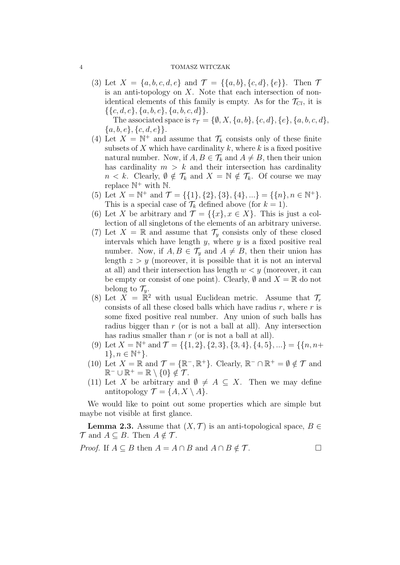(3) Let  $X = \{a, b, c, d, e\}$  and  $\mathcal{T} = \{\{a, b\}, \{c, d\}, \{e\}\}\$ . Then  $\mathcal{T}$ is an anti-topology on  $X$ . Note that each intersection of nonidentical elements of this family is empty. As for the  $\mathcal{T}_{Cl}$ , it is  $\{\{c, d, e\}, \{a, b, e\}, \{a, b, c, d\}\}.$ 

The associated space is  $\tau_{\mathcal{T}} = \{\emptyset, X, \{a, b\}, \{c, d\}, \{e\}, \{a, b, c, d\},\}$  $\{a, b, e\}, \{c, d, e\}\}.$ 

- (4) Let  $X = \mathbb{N}^+$  and assume that  $\mathcal{T}_k$  consists only of these finite subsets of X which have cardinality  $k$ , where  $k$  is a fixed positive natural number. Now, if  $A, B \in \mathcal{T}_k$  and  $A \neq B$ , then their union has cardinality  $m > k$  and their intersection has cardinality  $n < k$ . Clearly,  $\emptyset \notin \mathcal{T}_k$  and  $X = \mathbb{N} \notin \mathcal{T}_k$ . Of course we may replace  $\mathbb{N}^+$  with  $\mathbb{N}$ .
- (5) Let  $X = \mathbb{N}^+$  and  $\mathcal{T} = \{\{1\}, \{2\}, \{3\}, \{4\}, \ldots\} = \{\{n\}, n \in \mathbb{N}^+\}.$ This is a special case of  $\mathcal{T}_k$  defined above (for  $k = 1$ ).
- (6) Let X be arbitrary and  $\mathcal{T} = \{\{x\}, x \in X\}$ . This is just a collection of all singletons of the elements of an arbitrary universe.
- (7) Let  $X = \mathbb{R}$  and assume that  $\mathcal{T}_y$  consists only of these closed intervals which have length  $y$ , where  $y$  is a fixed positive real number. Now, if  $A, B \in \mathcal{T}_y$  and  $A \neq B$ , then their union has length  $z > y$  (moreover, it is possible that it is not an interval at all) and their intersection has length  $w < y$  (moreover, it can be empty or consist of one point). Clearly,  $\emptyset$  and  $X = \mathbb{R}$  do not belong to  $\mathcal{T}_y$ .
- (8) Let  $\overline{X} = \mathbb{R}^2$  with usual Euclidean metric. Assume that  $\mathcal{T}_r$ consists of all these closed balls which have radius  $r$ , where  $r$  is some fixed positive real number. Any union of such balls has radius bigger than  $r$  (or is not a ball at all). Any intersection has radius smaller than  $r$  (or is not a ball at all).
- (9) Let  $X = \mathbb{N}^+$  and  $\mathcal{T} = \{\{1, 2\}, \{2, 3\}, \{3, 4\}, \{4, 5\}, ...\} = \{\{n, n+1\}^+$  $1\}, n \in \mathbb{N}^+\}.$
- (10) Let  $X = \mathbb{R}$  and  $\mathcal{T} = \{\mathbb{R}^-, \mathbb{R}^+\}$ . Clearly,  $\mathbb{R}^- \cap \mathbb{R}^+ = \emptyset \notin \mathcal{T}$  and  $\mathbb{R}^- \cup \mathbb{R}^+ = \mathbb{R} \setminus \{0\} \notin \mathcal{T}.$
- (11) Let X be arbitrary and  $\emptyset \neq A \subseteq X$ . Then we may define antitopology  $\mathcal{T} = \{A, X \setminus A\}.$

We would like to point out some properties which are simple but maybe not visible at first glance.

**Lemma 2.3.** Assume that  $(X, \mathcal{T})$  is an anti-topological space,  $B \in$  $\mathcal{T}$  and  $A \subseteq B$ . Then  $A \notin \mathcal{T}$ .

*Proof.* If  $A \subseteq B$  then  $A = A \cap B$  and  $A \cap B \notin \mathcal{T}$ .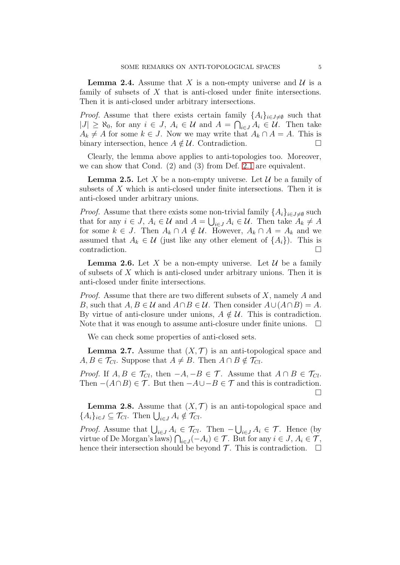**Lemma 2.4.** Assume that X is a non-empty universe and  $\mathcal{U}$  is a family of subsets of  $X$  that is anti-closed under finite intersections. Then it is anti-closed under arbitrary intersections.

*Proof.* Assume that there exists certain family  $\{A_i\}_{i\in J\neq\emptyset}$  such that  $|J| \geq \aleph_0$ , for any  $i \in J$ ,  $A_i \in \mathcal{U}$  and  $A = \bigcap_{i \in J} A_i \in \mathcal{U}$ . Then take  $A_k \neq A$  for some  $k \in J$ . Now we may write that  $A_k \cap A = A$ . This is binary intersection, hence  $A \notin \mathcal{U}$ . Contradiction.

Clearly, the lemma above applies to anti-topologies too. Moreover, we can show that Cond. (2) and (3) from Def. [2.1](#page-2-1) are equivalent.

**Lemma 2.5.** Let X be a non-empty universe. Let  $\mathcal{U}$  be a family of subsets of X which is anti-closed under finite intersections. Then it is anti-closed under arbitrary unions.

*Proof.* Assume that there exists some non-trivial family  $\{A_i\}_{i\in J\neq\emptyset}$  such that for any  $i \in J$ ,  $A_i \in \mathcal{U}$  and  $A = \bigcup_{i \in J} A_i \in \mathcal{U}$ . Then take  $A_k \neq A$ for some  $k \in J$ . Then  $A_k \cap A \notin \mathcal{U}$ . However,  $A_k \cap A = A_k$  and we assumed that  $A_k \in \mathcal{U}$  (just like any other element of  $\{A_i\}$ ). This is contradiction.

**Lemma 2.6.** Let X be a non-empty universe. Let  $\mathcal{U}$  be a family of subsets of X which is anti-closed under arbitrary unions. Then it is anti-closed under finite intersections.

*Proof.* Assume that there are two different subsets of  $X$ , namely  $A$  and B, such that  $A, B \in \mathcal{U}$  and  $A \cap B \in \mathcal{U}$ . Then consider  $A \cup (A \cap B) = A$ . By virtue of anti-closure under unions,  $A \notin \mathcal{U}$ . This is contradiction. Note that it was enough to assume anti-closure under finite unions.  $\Box$ 

We can check some properties of anti-closed sets.

**Lemma 2.7.** Assume that  $(X, \mathcal{T})$  is an anti-topological space and  $A, B \in \mathcal{T}_{Cl}$ . Suppose that  $A \neq B$ . Then  $A \cap B \notin \mathcal{T}_{Cl}$ .

*Proof.* If  $A, B \in \mathcal{T}_{Cl}$ , then  $-A, -B \in \mathcal{T}$ . Assume that  $A \cap B \in \mathcal{T}_{Cl}$ . Then  $-(A \cap B) \in \mathcal{T}$ . But then  $-A \cup -B \in \mathcal{T}$  and this is contradiction.  $\Box$ 

**Lemma 2.8.** Assume that  $(X, \mathcal{T})$  is an anti-topological space and  ${A_i}_{i \in J} \subseteq \mathcal{T}_{Cl}$ . Then  $\bigcup_{i \in J} A_i \notin \mathcal{T}_{Cl}$ .

*Proof.* Assume that  $\bigcup_{i \in J} A_i \in \mathcal{T}_{Cl}$ . Then  $-\bigcup_{i \in J} A_i \in \mathcal{T}$ . Hence (by virtue of De Morgan's laws)  $\bigcap_{i\in J}(-A_i)\in\mathcal{T}$ . But for any  $i\in J$ ,  $A_i\in\mathcal{T}$ , hence their intersection should be beyond  $\mathcal T$ . This is contradiction.  $\Box$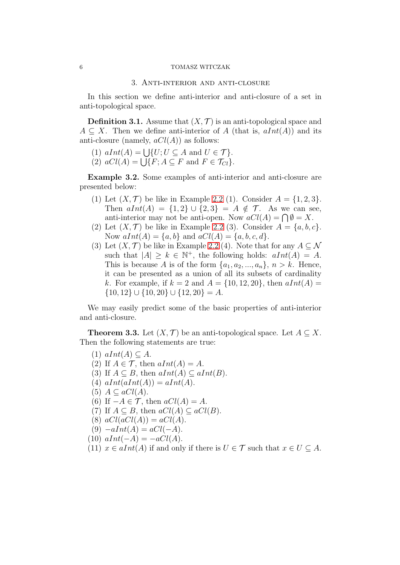# 3. Anti-interior and anti-closure

In this section we define anti-interior and anti-closure of a set in anti-topological space.

**Definition 3.1.** Assume that  $(X, \mathcal{T})$  is an anti-topological space and  $A \subseteq X$ . Then we define anti-interior of A (that is,  $aInt(A)$ ) and its anti-closure (namely,  $aCl(A)$ ) as follows:

- (1)  $aInt(A) = \bigcup \{U; U \subseteq A \text{ and } U \in \mathcal{T}\}.$
- (2)  $aCl(A) = \bigcup \{F; A \subseteq F \text{ and } F \in \mathcal{T}_{Cl}\}.$

<span id="page-5-1"></span>Example 3.2. Some examples of anti-interior and anti-closure are presented below:

- (1) Let  $(X, \mathcal{T})$  be like in Example [2.2](#page-2-2) (1). Consider  $A = \{1, 2, 3\}.$ Then  $alnt(A) = \{1,2\} \cup \{2,3\} = A \notin \mathcal{T}$ . As we can see, anti-interior may not be anti-open. Now  $aCl(A) = \bigcap \emptyset = X$ .
- (2) Let  $(X, \mathcal{T})$  be like in Example [2.2](#page-2-2) (3). Consider  $A = \{a, b, c\}$ . Now  $aInt(A) = \{a, b\}$  and  $aCl(A) = \{a, b, c, d\}.$
- (3) Let  $(X, \mathcal{T})$  be like in Example [2.2](#page-2-2) (4). Note that for any  $A \subseteq \mathcal{N}$ such that  $|A| \geq k \in \mathbb{N}^+$ , the following holds:  $aInt(A) = A$ . This is because A is of the form  $\{a_1, a_2, ..., a_n\}, n > k$ . Hence, it can be presented as a union of all its subsets of cardinality k. For example, if  $k = 2$  and  $A = \{10, 12, 20\}$ , then  $aInt(A) =$  $\{10, 12\} \cup \{10, 20\} \cup \{12, 20\} = A.$

We may easily predict some of the basic properties of anti-interior and anti-closure.

<span id="page-5-0"></span>**Theorem 3.3.** Let  $(X, \mathcal{T})$  be an anti-topological space. Let  $A \subseteq X$ . Then the following statements are true:

- $(1)$   $aInt(A) \subseteq A$ .
- (2) If  $A \in \mathcal{T}$ , then  $aInt(A) = A$ .
- (3) If  $A \subseteq B$ , then  $aInt(A) \subseteq aInt(B)$ .
- (4)  $aInt(aInt(A)) = aInt(A)$ .
- (5)  $A \subseteq aCl(A)$ .
- (6) If  $-A \in \mathcal{T}$ , then  $aCl(A) = A$ .
- (7) If  $A \subseteq B$ , then  $aCl(A) \subseteq aCl(B)$ .
- (8)  $aCl(aCl(A)) = aCl(A)$ .
- (9)  $-alInt(A) = aCl(-A)$ .
- (10)  $aInt(-A) = -aCl(A)$ .
- (11)  $x \in alnt(A)$  if and only if there is  $U \in \mathcal{T}$  such that  $x \in U \subseteq A$ .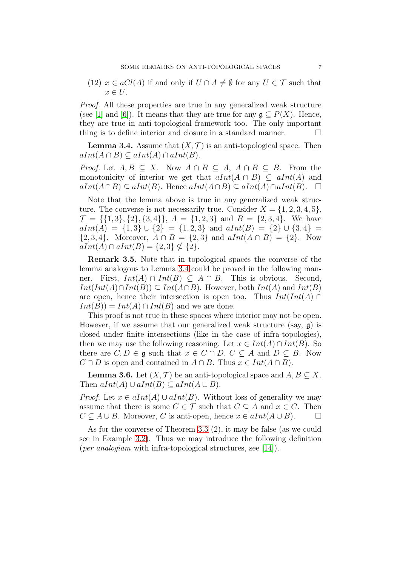(12)  $x \in aCl(A)$  if and only if  $U \cap A \neq \emptyset$  for any  $U \in \mathcal{T}$  such that  $x \in U$ .

Proof. All these properties are true in any generalized weak structure (see [\[1\]](#page-12-3) and [\[6\]](#page-12-4)). It means that they are true for any  $\mathfrak{g} \subset P(X)$ . Hence, they are true in anti-topological framework too. The only important thing is to define interior and closure in a standard manner.

<span id="page-6-0"></span>**Lemma 3.4.** Assume that  $(X, \mathcal{T})$  is an anti-topological space. Then  $aInt(A \cap B) \subseteq aInt(A) \cap aInt(B).$ 

*Proof.* Let  $A, B \subseteq X$ . Now  $A \cap B \subseteq A$ ,  $A \cap B \subseteq B$ . From the monotonicity of interior we get that  $aInt(A \cap B) \subseteq ahnt(A)$  and  $aInt(A\cap B) \subseteq aInt(B)$ . Hence  $aInt(A\cap B) \subseteq aInt(A)\cap aInt(B)$ .  $\Box$ 

Note that the lemma above is true in any generalized weak structure. The converse is not necessarily true. Consider  $X = \{1, 2, 3, 4, 5\}$ ,  $\mathcal{T} = \{\{1,3\},\{2\},\{3,4\}\}\$ ,  $A = \{1,2,3\}$  and  $B = \{2,3,4\}$ . We have  $aInt(A) = \{1,3\} \cup \{2\} = \{1,2,3\}$  and  $aInt(B) = \{2\} \cup \{3,4\} =$  $\{2,3,4\}.$  Moreover,  $A \cap B = \{2,3\}$  and  $alnt(A \cap B) = \{2\}.$  Now  $aInt(A) \cap aInt(B) = \{2,3\} \nsubseteq \{2\}.$ 

Remark 3.5. Note that in topological spaces the converse of the lemma analogous to Lemma [3.4](#page-6-0) could be proved in the following manner. First,  $Int(A) \cap Int(B) \subseteq A \cap B$ . This is obvious. Second,  $Int(int(A) \cap Int(B)) \subseteq Int(A \cap B)$ . However, both  $Int(A)$  and  $Int(B)$ are open, hence their intersection is open too. Thus  $Int(int(A) \cap$  $Int(B)) = Int(A) \cap Int(B)$  and we are done.

This proof is not true in these spaces where interior may not be open. However, if we assume that our generalized weak structure (say,  $\mathfrak{g}$ ) is closed under finite intersections (like in the case of infra-topologies), then we may use the following reasoning. Let  $x \in Int(A) \cap Int(B)$ . So there are  $C, D \in \mathfrak{g}$  such that  $x \in C \cap D$ ,  $C \subseteq A$  and  $D \subseteq B$ . Now  $C \cap D$  is open and contained in  $A \cap B$ . Thus  $x \in Int(A \cap B)$ .

**Lemma 3.6.** Let  $(X, \mathcal{T})$  be an anti-topological space and  $A, B \subseteq X$ . Then  $aInt(A) \cup aInt(B) \subseteq aInt(A \cup B)$ .

*Proof.* Let  $x \in aInt(A) \cup aInt(B)$ . Without loss of generality we may assume that there is some  $C \in \mathcal{T}$  such that  $C \subseteq A$  and  $x \in C$ . Then  $C \subseteq A \cup B$ . Moreover, C is anti-open, hence  $x \in alnt(A \cup B)$ .  $\Box$ 

As for the converse of Theorem [3.3](#page-5-0) (2), it may be false (as we could see in Example [3.2\)](#page-5-1). Thus we may introduce the following definition (*per analogiam* with infra-topological structures, see [\[14\]](#page-13-5)).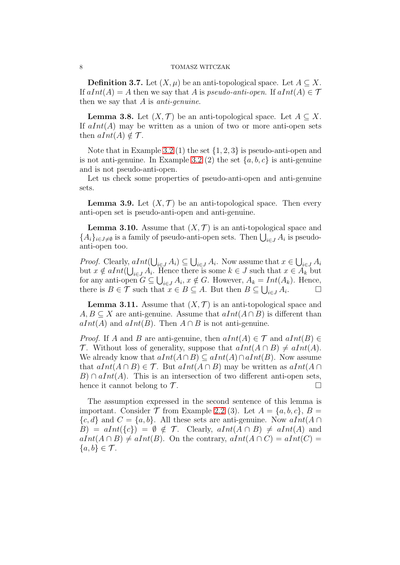**Definition 3.7.** Let  $(X, \mu)$  be an anti-topological space. Let  $A \subseteq X$ . If  $aInt(A) = A$  then we say that A is pseudo-anti-open. If  $aInt(A) \in \mathcal{T}$ then we say that  $A$  is anti-genuine.

**Lemma 3.8.** Let  $(X, \mathcal{T})$  be an anti-topological space. Let  $A \subseteq X$ . If  $aInt(A)$  may be written as a union of two or more anti-open sets then  $aInt(A) \notin \mathcal{T}$ .

Note that in Example [3.2](#page-5-1) (1) the set  $\{1, 2, 3\}$  is pseudo-anti-open and is not anti-genuine. In Example [3.2](#page-5-1) (2) the set  $\{a, b, c\}$  is anti-genuine and is not pseudo-anti-open.

Let us check some properties of pseudo-anti-open and anti-genuine sets.

**Lemma 3.9.** Let  $(X, \mathcal{T})$  be an anti-topological space. Then every anti-open set is pseudo-anti-open and anti-genuine.

**Lemma 3.10.** Assume that  $(X, \mathcal{T})$  is an anti-topological space and  ${A_i}_{i \in J \neq \emptyset}$  is a family of pseudo-anti-open sets. Then  $\bigcup_{i \in J} A_i$  is pseudoanti-open too.

*Proof.* Clearly,  $aInt(\bigcup_{i\in J} A_i) \subseteq \bigcup_{i\in J} A_i$ . Now assume that  $x \in \bigcup_{i\in J} A_i$ but  $x \notin aInt(\bigcup_{i \in J} A_i)$ . Hence there is some  $k \in J$  such that  $x \in A_k$  but for any anti-open  $G \subseteq \bigcup_{i \in J} A_i$ ,  $x \notin G$ . However,  $A_k = Int(A_k)$ . Hence, there is  $B \in \mathcal{T}$  such that  $x \in B \subseteq A$ . But then  $B \subseteq \bigcup_{i \in J} A_i$  $\Box$ 

**Lemma 3.11.** Assume that  $(X, \mathcal{T})$  is an anti-topological space and  $A, B \subseteq X$  are anti-genuine. Assume that  $aInt(A \cap B)$  is different than  $aInt(A)$  and  $aInt(B)$ . Then  $A \cap B$  is not anti-genuine.

*Proof.* If A and B are anti-genuine, then  $aInt(A) \in \mathcal{T}$  and  $aInt(B) \in$ T. Without loss of generality, suppose that  $aInt(A \cap B) \neq aInt(A)$ . We already know that  $aInt(A \cap B) \subseteq aInt(A) \cap aInt(B)$ . Now assume that  $aInt(A \cap B) \in \mathcal{T}$ . But  $aInt(A \cap B)$  may be written as  $aInt(A \cap B)$  $B) \cap aInt(A)$ . This is an intersection of two different anti-open sets, hence it cannot belong to  $\mathcal{T}$ .

The assumption expressed in the second sentence of this lemma is important. Consider  $\mathcal T$  from Example [2.2](#page-2-2) (3). Let  $A = \{a, b, c\}, B =$  $\{c, d\}$  and  $C = \{a, b\}$ . All these sets are anti-genuine. Now  $aInt(A \cap$  $B = aInt({c}) = \emptyset \notin \mathcal{T}$ . Clearly,  $aInt(A \cap B) \neq aInt(A)$  and  $aInt(A \cap B) \neq aInt(B)$ . On the contrary,  $aInt(A \cap C) = aInt(C)$  ${a,b}\in\mathcal{T}$ .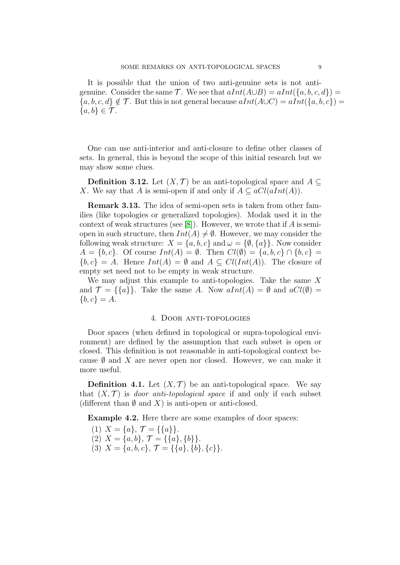It is possible that the union of two anti-genuine sets is not antigenuine. Consider the same  $\mathcal T$ . We see that  $dInt(A\cup B) = dInt(\lbrace a, b, c, d \rbrace) =$  ${a, b, c, d} \notin \mathcal{T}$ . But this is not general because  $aInt(A\cup C) = aInt({a, b, c}) =$  ${a, b} \in \mathcal{T}$ .

One can use anti-interior and anti-closure to define other classes of sets. In general, this is beyond the scope of this initial research but we may show some clues.

**Definition 3.12.** Let  $(X, \mathcal{T})$  be an anti-topological space and A ⊂ X. We say that A is semi-open if and only if  $A \subseteq aCl(aInt(A)).$ 

Remark 3.13. The idea of semi-open sets is taken from other families (like topologies or generalized topologies). Modak used it in the context of weak structures (see [\[8\]](#page-13-4)). However, we wrote that if  $A$  is semiopen in such structure, then  $Int(A) \neq \emptyset$ . However, we may consider the following weak structure:  $X = \{a, b, c\}$  and  $\omega = \{\emptyset, \{a\}\}\$ . Now consider  $A = \{b, c\}$ . Of course  $Int(A) = \emptyset$ . Then  $Cl(\emptyset) = \{a, b, c\} \cap \{b, c\}$  $\{b, c\} = A$ . Hence  $Int(A) = \emptyset$  and  $A \subseteq Cl(int(A))$ . The closure of empty set need not to be empty in weak structure.

We may adjust this example to anti-topologies. Take the same X and  $\mathcal{T} = \{\{a\}\}\$ . Take the same A. Now  $aInt(A) = \emptyset$  and  $aCl(\emptyset) =$  ${b, c} = A.$ 

## 4. Door anti-topologies

Door spaces (when defined in topological or supra-topological environment) are defined by the assumption that each subset is open or closed. This definition is not reasonable in anti-topological context because  $\emptyset$  and X are never open nor closed. However, we can make it more useful.

**Definition 4.1.** Let  $(X, \mathcal{T})$  be an anti-topological space. We say that  $(X, \mathcal{T})$  is *door anti-topological space* if and only if each subset (different than  $\emptyset$  and X) is anti-open or anti-closed.

Example 4.2. Here there are some examples of door spaces:

- (1)  $X = \{a\}, \mathcal{T} = \{\{a\}\}.$
- (2)  $X = \{a, b\}, \mathcal{T} = \{\{a\}, \{b\}\}.$
- (3)  $X = \{a, b, c\}, \mathcal{T} = \{\{a\}, \{b\}, \{c\}\}.$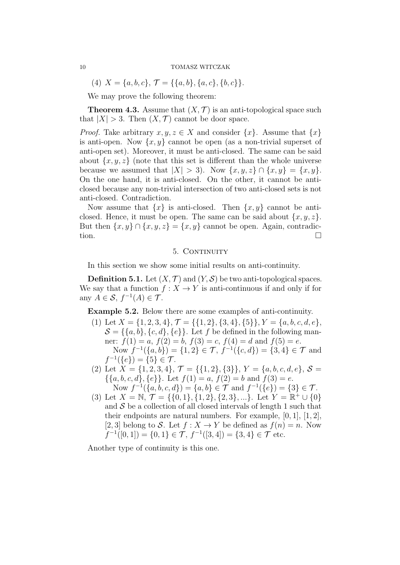$$
(4) X = \{a, b, c\}, \mathcal{T} = \{\{a, b\}, \{a, c\}, \{b, c\}\}.
$$

We may prove the following theorem:

**Theorem 4.3.** Assume that  $(X, \mathcal{T})$  is an anti-topological space such that  $|X| > 3$ . Then  $(X, \mathcal{T})$  cannot be door space.

*Proof.* Take arbitrary  $x, y, z \in X$  and consider  $\{x\}$ . Assume that  $\{x\}$ is anti-open. Now  $\{x, y\}$  cannot be open (as a non-trivial superset of anti-open set). Moreover, it must be anti-closed. The same can be said about  $\{x, y, z\}$  (note that this set is different than the whole universe because we assumed that  $|X| > 3$ . Now  $\{x, y, z\} \cap \{x, y\} = \{x, y\}.$ On the one hand, it is anti-closed. On the other, it cannot be anticlosed because any non-trivial intersection of two anti-closed sets is not anti-closed. Contradiction.

Now assume that  $\{x\}$  is anti-closed. Then  $\{x, y\}$  cannot be anticlosed. Hence, it must be open. The same can be said about  $\{x, y, z\}$ . But then  $\{x, y\} \cap \{x, y, z\} = \{x, y\}$  cannot be open. Again, contradiction.  $\Box$ 

# 5. CONTINUITY

In this section we show some initial results on anti-continuity.

**Definition 5.1.** Let  $(X, \mathcal{T})$  and  $(Y, \mathcal{S})$  be two anti-topological spaces. We say that a function  $f: X \to Y$  is anti-continuous if and only if for any  $A \in \mathcal{S}, f^{-1}(A) \in \mathcal{T}$ .

Example 5.2. Below there are some examples of anti-continuity.

- (1) Let  $X = \{1, 2, 3, 4\}, \mathcal{T} = \{\{1, 2\}, \{3, 4\}, \{5\}\}, Y = \{a, b, c, d, e\},\$  $\mathcal{S} = \{\{a, b\}, \{c, d\}, \{e\}\}\$ . Let f be defined in the following manner:  $f(1) = a$ ,  $f(2) = b$ ,  $f(3) = c$ ,  $f(4) = d$  and  $f(5) = e$ . Now  $f^{-1}(\{a,b\}) = \{1,2\} \in \mathcal{T}$ ,  $f^{-1}(\{c,d\}) = \{3,4\} \in \mathcal{T}$  and  $f^{-1}(\{e\}) = \{5\} \in \mathcal{T}.$
- (2) Let  $X = \{1, 2, 3, 4\}, \mathcal{T} = \{\{1, 2\}, \{3\}\}, Y = \{a, b, c, d, e\}, \mathcal{S} =$  $\{\{a, b, c, d\}, \{e\}\}\$ . Let  $f(1) = a, f(2) = b$  and  $f(3) = e$ . Now  $f^{-1}(\{a, b, c, d\}) = \{a, b\} \in \mathcal{T}$  and  $f^{-1}(\{e\}) = \{3\} \in \mathcal{T}$ .
- (3) Let  $X = \mathbb{N}, \mathcal{T} = \{\{0, 1\}, \{1, 2\}, \{2, 3\}, ...\}.$  Let  $Y = \mathbb{R}^+ \cup \{0\}$ and  $S$  be a collection of all closed intervals of length 1 such that their endpoints are natural numbers. For example,  $[0, 1]$ ,  $[1, 2]$ , [2, 3] belong to S. Let  $f: X \to Y$  be defined as  $f(n) = n$ . Now  $f^{-1}([0,1]) = \{0,1\} \in \mathcal{T}, f^{-1}([3,4]) = \{3,4\} \in \mathcal{T}$  etc.

Another type of continuity is this one.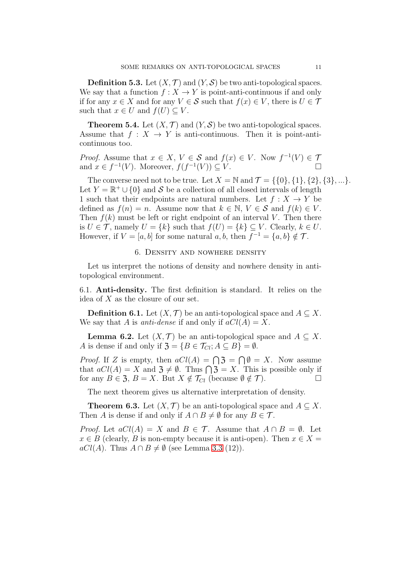**Definition 5.3.** Let  $(X, \mathcal{T})$  and  $(Y, \mathcal{S})$  be two anti-topological spaces. We say that a function  $f: X \to Y$  is point-anti-continuous if and only if for any  $x \in X$  and for any  $V \in \mathcal{S}$  such that  $f(x) \in V$ , there is  $U \in \mathcal{T}$ such that  $x \in U$  and  $f(U) \subseteq V$ .

**Theorem 5.4.** Let  $(X, \mathcal{T})$  and  $(Y, \mathcal{S})$  be two anti-topological spaces. Assume that  $f: X \to Y$  is anti-continuous. Then it is point-anticontinuous too.

*Proof.* Assume that  $x \in X$ ,  $V \in S$  and  $f(x) \in V$ . Now  $f^{-1}(V) \in T$ and  $x \in f^{-1}(V)$ . Moreover,  $f(f^{-1}(V)) \subseteq V$ .

The converse need not to be true. Let  $X = N$  and  $\mathcal{T} = \{ \{0\}, \{1\}, \{2\}, \{3\}, \ldots \}.$ Let  $Y = \mathbb{R}^+ \cup \{0\}$  and S be a collection of all closed intervals of length 1 such that their endpoints are natural numbers. Let  $f: X \to Y$  be defined as  $f(n) = n$ . Assume now that  $k \in \mathbb{N}$ ,  $V \in \mathcal{S}$  and  $f(k) \in V$ . Then  $f(k)$  must be left or right endpoint of an interval V. Then there is  $U \in \mathcal{T}$ , namely  $U = \{k\}$  such that  $f(U) = \{k\} \subseteq V$ . Clearly,  $k \in U$ . However, if  $V = [a, b]$  for some natural  $a, b$ , then  $f^{-1} = \{a, b\} \notin \mathcal{T}$ .

# 6. Density and nowhere density

Let us interpret the notions of density and nowhere density in antitopological environment.

6.1. Anti-density. The first definition is standard. It relies on the idea of  $X$  as the closure of our set.

**Definition 6.1.** Let  $(X, \mathcal{T})$  be an anti-topological space and  $A \subseteq X$ . We say that A is *anti-dense* if and only if  $aCl(A) = X$ .

**Lemma 6.2.** Let  $(X, \mathcal{T})$  be an anti-topological space and  $A \subseteq X$ . A is dense if and only if  $\mathfrak{Z} = \{B \in \mathcal{T}_{Cl}; A \subseteq B\} = \emptyset$ .

*Proof.* If Z is empty, then  $aCl(A) = \bigcap \mathfrak{Z} = \bigcap \emptyset = X$ . Now assume that  $aCl(A) = X$  and  $\mathfrak{Z} \neq \emptyset$ . Thus  $\bigcap \mathfrak{Z} = X$ . This is possible only if for any  $B \in \mathfrak{Z}, B = X$ . But  $X \notin \mathcal{T}_{Cl}$  (because  $\emptyset \notin \mathcal{T}$ ).

The next theorem gives us alternative interpretation of density.

**Theorem 6.3.** Let  $(X, \mathcal{T})$  be an anti-topological space and  $A \subseteq X$ . Then A is dense if and only if  $A \cap B \neq \emptyset$  for any  $B \in \mathcal{T}$ .

*Proof.* Let  $aCl(A) = X$  and  $B \in \mathcal{T}$ . Assume that  $A \cap B = \emptyset$ . Let  $x \in B$  (clearly, B is non-empty because it is anti-open). Then  $x \in X =$  $aCl(A)$ . Thus  $A \cap B \neq \emptyset$  (see Lemma [3.3](#page-5-0) (12)).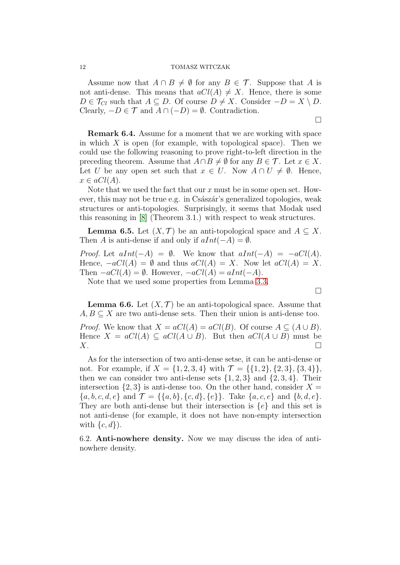Assume now that  $A \cap B \neq \emptyset$  for any  $B \in \mathcal{T}$ . Suppose that A is not anti-dense. This means that  $aCl(A) \neq X$ . Hence, there is some  $D \in \mathcal{T}_{Cl}$  such that  $A \subseteq D$ . Of course  $D \neq X$ . Consider  $-D = X \setminus D$ . Clearly,  $-D \in \mathcal{T}$  and  $A \cap (-D) = \emptyset$ . Contradiction.

 $\Box$ 

 $\Box$ 

Remark 6.4. Assume for a moment that we are working with space in which  $X$  is open (for example, with topological space). Then we could use the following reasoning to prove right-to-left direction in the preceding theorem. Assume that  $A \cap B \neq \emptyset$  for any  $B \in \mathcal{T}$ . Let  $x \in X$ . Let U be any open set such that  $x \in U$ . Now  $A \cap U \neq \emptyset$ . Hence,  $x \in aCl(A).$ 

Note that we used the fact that our x must be in some open set. However, this may not be true e.g. in Császár's generalized topologies, weak structures or anti-topologies. Surprisingly, it seems that Modak used this reasoning in [\[8\]](#page-13-4) (Theorem 3.1.) with respect to weak structures.

**Lemma 6.5.** Let  $(X, \mathcal{T})$  be an anti-topological space and  $A \subseteq X$ . Then A is anti-dense if and only if  $aInt(-A) = \emptyset$ .

*Proof.* Let  $aInt(-A) = \emptyset$ . We know that  $aInt(-A) = -aCl(A)$ . Hence,  $-aCl(A) = \emptyset$  and thus  $aCl(A) = X$ . Now let  $aCl(A) = X$ . Then  $-aCl(A) = \emptyset$ . However,  $-aCl(A) = aInt(-A)$ .

Note that we used some properties from Lemma [3.3.](#page-5-0)

**Lemma 6.6.** Let  $(X, \mathcal{T})$  be an anti-topological space. Assume that  $A, B \subseteq X$  are two anti-dense sets. Then their union is anti-dense too. *Proof.* We know that  $X = aCl(A) = aCl(B)$ . Of course  $A \subseteq (A \cup B)$ . Hence  $X = aCl(A) \subseteq aCl(A \cup B)$ . But then  $aCl(A \cup B)$  must be

 $X.$ 

As for the intersection of two anti-dense setse, it can be anti-dense or not. For example, if  $X = \{1, 2, 3, 4\}$  with  $\mathcal{T} = \{\{1, 2\}, \{2, 3\}, \{3, 4\}\}\$ then we can consider two anti-dense sets  $\{1, 2, 3\}$  and  $\{2, 3, 4\}$ . Their intersection  $\{2,3\}$  is anti-dense too. On the other hand, consider  $X =$  ${a, b, c, d, e}$  and  $\mathcal{T} = {\{a, b\}, \{c, d\}, \{e\}}$ . Take  ${a, c, e}$  and  ${b, d, e}$ . They are both anti-dense but their intersection is  $\{e\}$  and this set is not anti-dense (for example, it does not have non-empty intersection with  $\{c, d\}$ ).

6.2. Anti-nowhere density. Now we may discuss the idea of antinowhere density.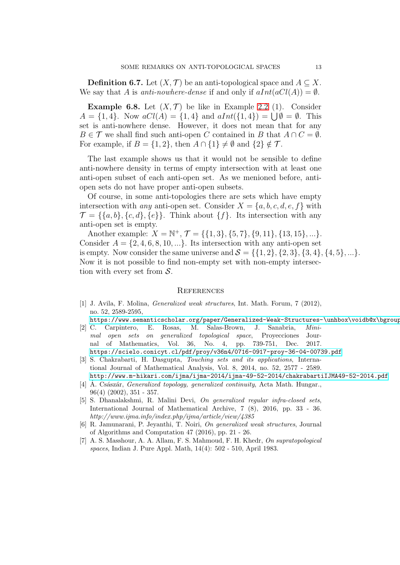**Definition 6.7.** Let  $(X, \mathcal{T})$  be an anti-topological space and  $A \subseteq X$ . We say that A is anti-nowhere-dense if and only if  $aInt(aCl(A)) = \emptyset$ .

**Example 6.8.** Let  $(X, \mathcal{T})$  be like in Example [2.2](#page-2-2) (1). Consider  $A = \{1, 4\}$ . Now  $aCl(A) = \{1, 4\}$  and  $aInt(\{1, 4\}) = \bigcup \emptyset = \emptyset$ . This set is anti-nowhere dense. However, it does not mean that for any  $B \in \mathcal{T}$  we shall find such anti-open C contained in B that  $A \cap C = \emptyset$ . For example, if  $B = \{1, 2\}$ , then  $A \cap \{1\} \neq \emptyset$  and  $\{2\} \notin \mathcal{T}$ .

The last example shows us that it would not be sensible to define anti-nowhere density in terms of empty intersection with at least one anti-open subset of each anti-open set. As we menioned before, antiopen sets do not have proper anti-open subsets.

Of course, in some anti-topologies there are sets which have empty intersection with any anti-open set. Consider  $X = \{a, b, c, d, e, f\}$  with  $\mathcal{T} = \{\{a, b\}, \{c, d\}, \{e\}\}\$ . Think about  $\{f\}$ . Its intersection with any anti-open set is empty.

Another example:  $X = \mathbb{N}^+, \mathcal{T} = \{\{1,3\}, \{5,7\}, \{9,11\}, \{13,15\}, ...\}.$ Consider  $A = \{2, 4, 6, 8, 10, ...\}$ . Its intersection with any anti-open set is empty. Now consider the same universe and  $S = \{ \{1, 2\}, \{2, 3\}, \{3, 4\}, \{4, 5\}, \ldots \}.$ Now it is not possible to find non-empty set with non-empty intersection with every set from  $S$ .

# **REFERENCES**

<span id="page-12-3"></span>[1] J. Avila, F. Molina, *Generalized weak structures*, Int. Math. Forum, 7 (2012), no. 52, 2589-2595,

https://www.semanticscholar.org/paper/Generalized-Weak-Structures-\unhbox\voidb@x\bgroup [2] C. Carpintero, E. Rosas, M. Salas-Brown, J. Sanabria, *Mini-*

- *mal open sets on generalized topological space*, Proyecciones Journal of Mathematics, Vol. 36, No. 4, pp. 739-751, Dec. 2017. <https://scielo.conicyt.cl/pdf/proy/v36n4/0716-0917-proy-36-04-00739.pdf>
- [3] S. Chakrabarti, H. Dasgupta, *Touching sets and its applications*, International Journal of Mathematical Analysis, Vol. 8, 2014, no. 52, 2577 - 2589. <http://www.m-hikari.com/ijma/ijma-2014/ijma-49-52-2014/chakrabartiIJMA49-52-2014.pdf>
- <span id="page-12-1"></span>[4] Á. Császár, *Generalized topology, generalized continuity*, Acta Math. Hungar., 96(4) (2002), 351 - 357.
- <span id="page-12-0"></span>[5] S. Dhanalakshmi, R. Malini Devi, *On generalized regular infra-closed sets*, International Journal of Mathematical Archive, 7 (8), 2016, pp. 33 - 36. *http://www.ijma.info/index.php/ijma/article/view/4385*
- <span id="page-12-4"></span>[6] R. Jamunarani, P. Jeyanthi, T. Noiri, *On generalized weak structures*, Journal of Algorithms and Computation 47 (2016), pp. 21 - 26.
- <span id="page-12-2"></span>[7] A. S. Masshour, A. A. Allam, F. S. Mahmoud, F. H. Khedr, *On supratopological spaces*, Indian J. Pure Appl. Math, 14(4): 502 - 510, April 1983.